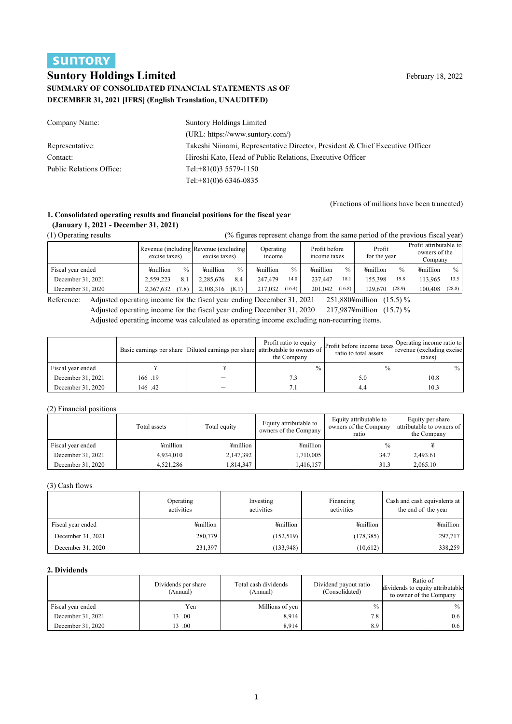# **SUNTORY**

# **Suntory Holdings Limited** February 18, 2022 **SUMMARY OF CONSOLIDATED FINANCIAL STATEMENTS AS OF DECEMBER 31, 2021 [IFRS] (English Translation, UNAUDITED)**

| Company Name:            | Suntory Holdings Limited                                                      |
|--------------------------|-------------------------------------------------------------------------------|
|                          | $(URL: https://www.suntory.com/)$                                             |
| Representative:          | Takeshi Niinami, Representative Director, President & Chief Executive Officer |
| Contact:                 | Hiroshi Kato, Head of Public Relations, Executive Officer                     |
| Public Relations Office: | Tel: $+81(0)35579-1150$                                                       |
|                          | Tel: $+81(0)66346-0835$                                                       |

(Fractions of millions have been truncated)

#### **1. Consolidated operating results and financial positions for the fiscal year (January 1, 2021 - December 31, 2021)**

(1) Operating results (% figures represent change from the same period of the previous fiscal year)

| $(1)$ operating reserve |               |                                                         |                    |                               |                        |                                                    |
|-------------------------|---------------|---------------------------------------------------------|--------------------|-------------------------------|------------------------|----------------------------------------------------|
|                         | excise taxes) | Revenue (including Revenue (excluding)<br>excise taxes) | Operating<br>mcome | Profit before<br>income taxes | Profit<br>for the year | Profit attributable to<br>owners of the<br>Company |
| Fiscal year ended       | ¥million      | $\frac{0}{0}$                                           | $\%$               | ¥million                      | $\frac{0}{0}$          | ¥million                                           |
|                         | $\frac{0}{0}$ | ¥million                                                | ¥million           | $\frac{0}{0}$                 | ¥million               | $\%$                                               |
| December 31, 2021       | 2.559.223     | 2.285.676                                               | 247,479            | 237,447                       | 155,398                | 113,965                                            |
|                         | 8.1           | 8.4                                                     | 14.0               | 18.1                          | 19.8                   | 13.5                                               |
| December 31. 2020       | (7.8)         | (8.1)                                                   | 217,032            | 201,042                       | 129.670                | 100,408                                            |
|                         | 2.367.632     | 2.108.316                                               | (16.4)             | (16.8)                        | (28.9)                 | (28.8)                                             |

Reference: Adjusted operating income for the fiscal year ending December 31, 2021 251,880¥million (15.5) % Adjusted operating income for the fiscal year ending December 31, 2020 217,987¥million (15.7) % Adjusted operating income was calculated as operating income excluding non-recurring items.

|                   |        | Basic earnings per share Diluted earnings per share attributable to owners of | Profit ratio to equity<br>the Company | Profit before income taxes<br>ratio to total assets | Operating income ratio to<br>Trevenue (excluding excise)<br>taxes) |
|-------------------|--------|-------------------------------------------------------------------------------|---------------------------------------|-----------------------------------------------------|--------------------------------------------------------------------|
| Fiscal year ended |        |                                                                               | $\frac{0}{0}$                         | $\frac{0}{0}$                                       | $\frac{0}{0}$                                                      |
| December 31, 2021 | 166.19 |                                                                               | 7.3                                   | 5.0                                                 | 10.8                                                               |
| December 31, 2020 | 146.42 |                                                                               |                                       | 4.4                                                 | 10.3                                                               |

#### (2) Financial positions

|                   | Total assets | Total equity | Equity attributable to<br>owners of the Company | Equity attributable to<br>owners of the Company<br>ratio | Equity per share<br>attributable to owners of<br>the Company |
|-------------------|--------------|--------------|-------------------------------------------------|----------------------------------------------------------|--------------------------------------------------------------|
| Fiscal year ended | ¥million     | ¥million     | ¥million                                        | $\frac{0}{0}$                                            |                                                              |
| December 31, 2021 | 4,934,010    | 2,147,392    | 1,710,005                                       | 34.7                                                     | 2,493.61                                                     |
| December 31, 2020 | 4,521,286    | 1.814.347    | 1.416.157                                       | 31.3                                                     | 2,065.10                                                     |

(3) Cash flows

|                   | Operating<br>activities | Investing<br>activities | Financing<br>activities | Cash and cash equivalents at<br>the end of the year |
|-------------------|-------------------------|-------------------------|-------------------------|-----------------------------------------------------|
| Fiscal year ended | ¥million                | ¥million                | ¥million                | ¥million                                            |
| December 31, 2021 | 280,779                 | (152, 519)              | (178, 385)              | 297,717                                             |
| December 31, 2020 | 231,397                 | (133, 948)              | (10,612)                | 338,259                                             |

### **2. Dividends**

|                   | Dividends per share<br>(Annual) | Total cash dividends<br>(Annual) | Dividend payout ratio<br>(Consolidated) | Ratio of<br>dividends to equity attributable<br>to owner of the Company |
|-------------------|---------------------------------|----------------------------------|-----------------------------------------|-------------------------------------------------------------------------|
| Fiscal year ended | Yen                             | Millions of yen                  | $\frac{0}{0}$                           | $\frac{0}{0}$                                                           |
| December 31, 2021 | 13.00                           | 8,914                            | 7.8                                     | 0.6                                                                     |
| December 31, 2020 | 13.00                           | 8,914                            | 8.9                                     | 0.6                                                                     |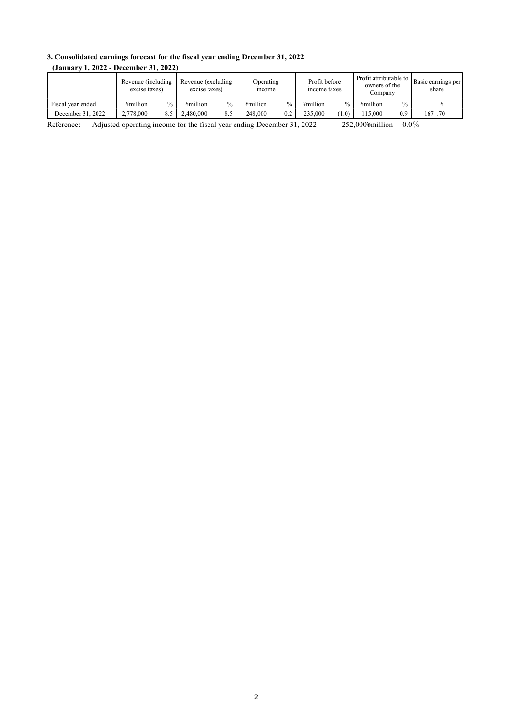### **3. Consolidated earnings forecast for the fiscal year ending December 31, 2022 (January 1, 2022 - December 31, 2022)**

| Revenue (including<br>excise taxes) | excise taxes)    | Operating<br>income       | Profit before<br>income taxes | owners of the<br>Company  | share                                            |
|-------------------------------------|------------------|---------------------------|-------------------------------|---------------------------|--------------------------------------------------|
| ¥million                            | ¥million<br>%    | $\frac{0}{0}$<br>¥million | ¥million<br>$\frac{0}{0}$     | $\frac{0}{0}$<br>¥million |                                                  |
| 2,778,000<br>8.5                    | 2.480,000<br>8.5 | 248,000<br>0.2            | 235,000<br>(1.0)              | 15.000<br>0.9             | 167.70                                           |
|                                     | $\%$             |                           | Revenue (excluding)           |                           | Profit attributable to   Basic earnings per<br>. |

Reference: Adjusted operating income for the fiscal year ending December 31, 2022 252,000¥million 0.0%

2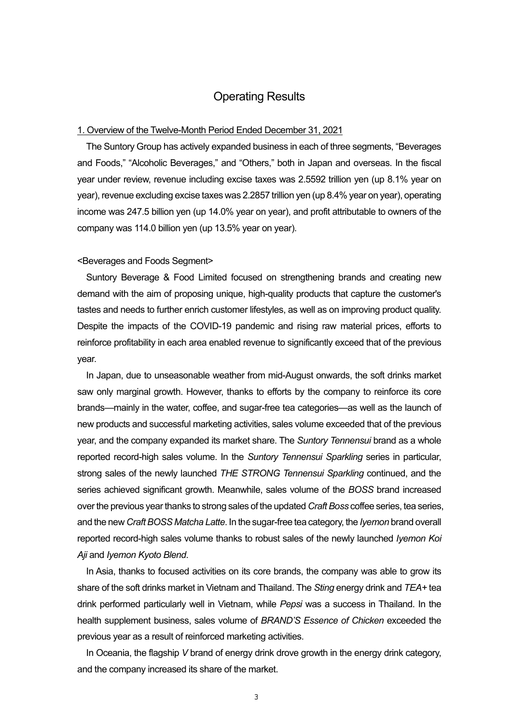## Operating Results

### 1. Overview of the Twelve-Month Period Ended December 31, 2021

The Suntory Group has actively expanded business in each of three segments, "Beverages and Foods," "Alcoholic Beverages," and "Others," both in Japan and overseas. In the fiscal year under review, revenue including excise taxes was 2.5592 trillion yen (up 8.1% year on year), revenue excluding excise taxes was 2.2857 trillion yen (up 8.4% year on year), operating income was 247.5 billion yen (up 14.0% year on year), and profit attributable to owners of the company was 114.0 billion yen (up 13.5% year on year).

### <Beverages and Foods Segment>

Suntory Beverage & Food Limited focused on strengthening brands and creating new demand with the aim of proposing unique, high-quality products that capture the customer's tastes and needs to further enrich customer lifestyles, as well as on improving product quality. Despite the impacts of the COVID-19 pandemic and rising raw material prices, efforts to reinforce profitability in each area enabled revenue to significantly exceed that of the previous year.

In Japan, due to unseasonable weather from mid-August onwards, the soft drinks market saw only marginal growth. However, thanks to efforts by the company to reinforce its core brands—mainly in the water, coffee, and sugar-free tea categories—as well as the launch of new products and successful marketing activities, sales volume exceeded that of the previous year, and the company expanded its market share. The *Suntory Tennensui* brand as a whole reported record-high sales volume. In the *Suntory Tennensui Sparkling* series in particular, strong sales of the newly launched *THE STRONG Tennensui Sparkling* continued, and the series achieved significant growth. Meanwhile, sales volume of the *BOSS* brand increased over the previous year thanks to strong sales of the updated *Craft Boss* coffee series, tea series, and the new *Craft BOSS Matcha Latte*. In the sugar-free tea category, the *Iyemon* brand overall reported record-high sales volume thanks to robust sales of the newly launched *Iyemon Koi Aji* and *Iyemon Kyoto Blend*.

In Asia, thanks to focused activities on its core brands, the company was able to grow its share of the soft drinks market in Vietnam and Thailand. The *Sting* energy drink and *TEA+* tea drink performed particularly well in Vietnam, while *Pepsi* was a success in Thailand. In the health supplement business, sales volume of *BRAND'S Essence of Chicken* exceeded the previous year as a result of reinforced marketing activities.

In Oceania, the flagship *V* brand of energy drink drove growth in the energy drink category, and the company increased its share of the market.

3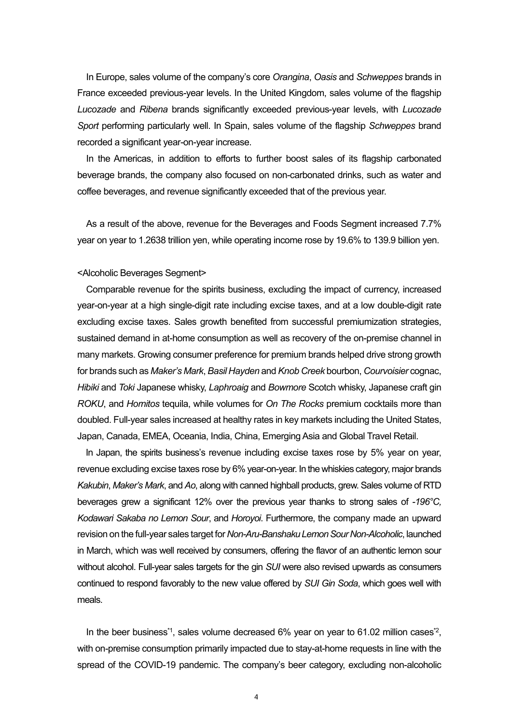In Europe, sales volume of the company's core *Orangina*, *Oasis* and *Schweppes* brands in France exceeded previous-year levels. In the United Kingdom, sales volume of the flagship *Lucozade* and *Ribena* brands significantly exceeded previous-year levels, with *Lucozade Sport* performing particularly well. In Spain, sales volume of the flagship *Schweppes* brand recorded a significant year-on-year increase.

In the Americas, in addition to efforts to further boost sales of its flagship carbonated beverage brands, the company also focused on non-carbonated drinks, such as water and coffee beverages, and revenue significantly exceeded that of the previous year.

As a result of the above, revenue for the Beverages and Foods Segment increased 7.7% year on year to 1.2638 trillion yen, while operating income rose by 19.6% to 139.9 billion yen.

### <Alcoholic Beverages Segment>

Comparable revenue for the spirits business, excluding the impact of currency, increased year-on-year at a high single-digit rate including excise taxes, and at a low double-digit rate excluding excise taxes. Sales growth benefited from successful premiumization strategies, sustained demand in at-home consumption as well as recovery of the on-premise channel in many markets. Growing consumer preference for premium brands helped drive strong growth for brands such as *Maker's Mark*, *Basil Hayden* and *Knob Creek* bourbon, *Courvoisier* cognac, *Hibiki* and *Toki* Japanese whisky, *Laphroaig* and *Bowmore* Scotch whisky, Japanese craft gin *ROKU*, and *Hornitos* tequila, while volumes for *On The Rocks* premium cocktails more than doubled. Full-year sales increased at healthy rates in key markets including the United States, Japan, Canada, EMEA, Oceania, India, China, Emerging Asia and Global Travel Retail.

In Japan, the spirits business's revenue including excise taxes rose by 5% year on year, revenue excluding excise taxes rose by 6% year-on-year. In the whiskies category, major brands *Kakubin*, *Maker's Mark*, and *Ao*, along with canned highball products, grew. Sales volume of RTD beverages grew a significant 12% over the previous year thanks to strong sales of *-196°C, Kodawari Sakaba no Lemon Sour*, and *Horoyoi*. Furthermore, the company made an upward revision on the full-year sales target for *Non-Aru-Banshaku Lemon Sour Non-Alcoholic*, launched in March, which was well received by consumers, offering the flavor of an authentic lemon sour without alcohol. Full-year sales targets for the gin *SUI* were also revised upwards as consumers continued to respond favorably to the new value offered by *SUI Gin Soda*, which goes well with meals.

In the beer business<sup>\*1</sup>, sales volume decreased  $6\%$  year on year to  $61.02$  million cases<sup>\*2</sup>, with on-premise consumption primarily impacted due to stay-at-home requests in line with the spread of the COVID-19 pandemic. The company's beer category, excluding non-alcoholic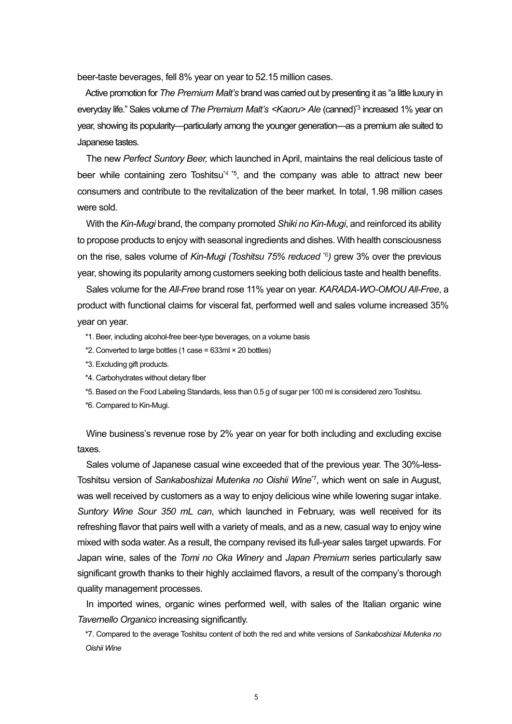beer-taste beverages, fell 8% year on year to 52.15 million cases.

Active promotion for *The Premium Malt's* brand was carried out by presenting it as "a little luxury in everyday life." Sales volume of *The Premium Malt's <Kaoru> Ale* (canned)\*3 increased 1% year on year, showing its popularity—particularly among the younger generation—as a premium ale suited to Japanese tastes.

The new *Perfect Suntory Beer,* which launched in April, maintains the real delicious taste of beer while containing zero Toshitsu<sup>4</sup><sup> $*$ 5</sup>, and the company was able to attract new beer consumers and contribute to the revitalization of the beer market. In total, 1.98 million cases were sold.

With the *Kin-Mugi* brand, the company promoted *Shiki no Kin-Mugi*, and reinforced its ability to propose products to enjoy with seasonal ingredients and dishes. With health consciousness on the rise, sales volume of *Kin-Mugi (Toshitsu 75% reduced* \*6*)* grew 3% over the previous year, showing its popularity among customers seeking both delicious taste and health benefits.

Sales volume for the *All-Free* brand rose 11% year on year. *KARADA-WO-OMOU All-Free*, a product with functional claims for visceral fat, performed well and sales volume increased 35% year on year.

- \*1. Beer, including alcohol-free beer-type beverages, on a volume basis
- \*2. Converted to large bottles (1 case = 633ml × 20 bottles)
- \*3. Excluding gift products.
- \*4. Carbohydrates without dietary fiber
- \*5. Based on the Food Labeling Standards, less than 0.5 g of sugar per 100 ml is considered zero Toshitsu.
- \*6. Compared to Kin-Mugi.

Wine business's revenue rose by 2% year on year for both including and excluding excise taxes.

Sales volume of Japanese casual wine exceeded that of the previous year. The 30%-less-Toshitsu version of *Sankaboshizai Mutenka no Oishii Wine*\*7, which went on sale in August, was well received by customers as a way to enjoy delicious wine while lowering sugar intake. *Suntory Wine Sour 350 mL can*, which launched in February, was well received for its refreshing flavor that pairs well with a variety of meals, and as a new, casual way to enjoy wine mixed with soda water. As a result, the company revised its full-year sales target upwards. For Japan wine, sales of the *Tomi no Oka Winery* and *Japan Premium* series particularly saw significant growth thanks to their highly acclaimed flavors, a result of the company's thorough quality management processes.

In imported wines, organic wines performed well, with sales of the Italian organic wine *Tavernello Organico* increasing significantly.

\*7. Compared to the average Toshitsu content of both the red and white versions of *Sankaboshizai Mutenka no Oishii Wine*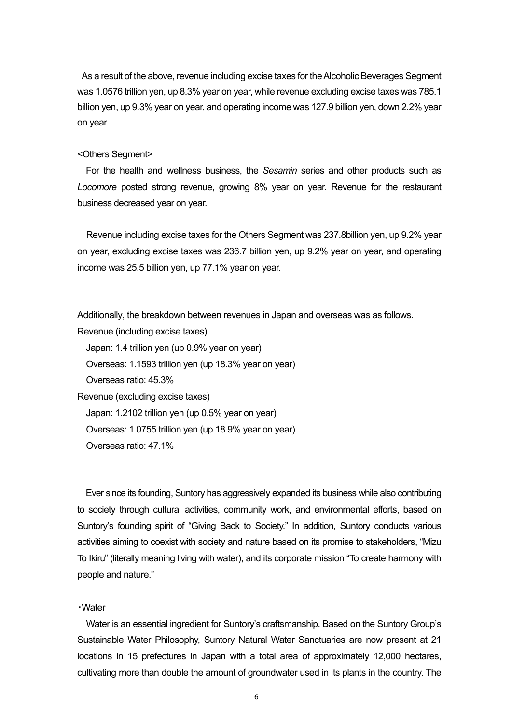As a result of the above, revenue including excise taxes for the Alcoholic Beverages Segment was 1.0576 trillion yen, up 8.3% year on year, while revenue excluding excise taxes was 785.1 billion yen, up 9.3% year on year, and operating income was 127.9 billion yen, down 2.2% year on year.

### <Others Segment>

For the health and wellness business, the *Sesamin* series and other products such as *Locomore* posted strong revenue, growing 8% year on year. Revenue for the restaurant business decreased year on year.

Revenue including excise taxes for the Others Segment was 237.8billion yen, up 9.2% year on year, excluding excise taxes was 236.7 billion yen, up 9.2% year on year, and operating income was 25.5 billion yen, up 77.1% year on year.

Additionally, the breakdown between revenues in Japan and overseas was as follows.

Revenue (including excise taxes)

Japan: 1.4 trillion yen (up 0.9% year on year)

Overseas: 1.1593 trillion yen (up 18.3% year on year)

Overseas ratio: 45.3%

Revenue (excluding excise taxes) Japan: 1.2102 trillion yen (up 0.5% year on year) Overseas: 1.0755 trillion yen (up 18.9% year on year)

Overseas ratio: 47.1%

Ever since its founding, Suntory has aggressively expanded its business while also contributing to society through cultural activities, community work, and environmental efforts, based on Suntory's founding spirit of "Giving Back to Society." In addition, Suntory conducts various activities aiming to coexist with society and nature based on its promise to stakeholders, "Mizu To Ikiru" (literally meaning living with water), and its corporate mission "To create harmony with people and nature."

### ・Water

Water is an essential ingredient for Suntory's craftsmanship. Based on the Suntory Group's Sustainable Water Philosophy, Suntory Natural Water Sanctuaries are now present at 21 locations in 15 prefectures in Japan with a total area of approximately 12,000 hectares, cultivating more than double the amount of groundwater used in its plants in the country. The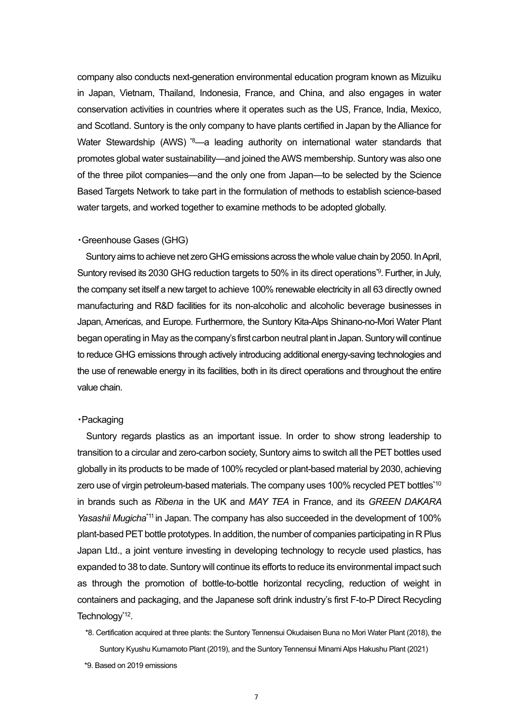company also conducts next-generation environmental education program known as Mizuiku in Japan, Vietnam, Thailand, Indonesia, France, and China, and also engages in water conservation activities in countries where it operates such as the US, France, India, Mexico, and Scotland. Suntory is the only company to have plants certified in Japan by the Alliance for Water Stewardship (AWS) <sup>\*8</sup>—a leading authority on international water standards that promotes global water sustainability—and joined the AWS membership. Suntory was also one of the three pilot companies—and the only one from Japan—to be selected by the Science Based Targets Network to take part in the formulation of methods to establish science-based water targets, and worked together to examine methods to be adopted globally.

### ・Greenhouse Gases (GHG)

Suntory aims to achieve net zero GHG emissions across the whole value chain by 2050. In April, Suntory revised its 2030 GHG reduction targets to 50% in its direct operations\*9. Further, in July, the company set itself a new target to achieve 100% renewable electricity in all 63 directly owned manufacturing and R&D facilities for its non-alcoholic and alcoholic beverage businesses in Japan, Americas, and Europe. Furthermore, the Suntory Kita-Alps Shinano-no-Mori Water Plant began operating in May as the company's first carbon neutral plant in Japan. Suntory will continue to reduce GHG emissions through actively introducing additional energy-saving technologies and the use of renewable energy in its facilities, both in its direct operations and throughout the entire value chain.

### ・Packaging

Suntory regards plastics as an important issue. In order to show strong leadership to transition to a circular and zero-carbon society, Suntory aims to switch all the PET bottles used globally in its products to be made of 100% recycled or plant-based material by 2030, achieving zero use of virgin petroleum-based materials. The company uses 100% recycled PET bottles\*10 in brands such as *Ribena* in the UK and *MAY TEA* in France, and its *GREEN DAKARA Yasashii Mugicha*\*11 in Japan. The company has also succeeded in the development of 100% plant-based PET bottle prototypes. In addition, the number of companies participating in R Plus Japan Ltd., a joint venture investing in developing technology to recycle used plastics, has expanded to 38 to date. Suntory will continue its efforts to reduce its environmental impact such as through the promotion of bottle-to-bottle horizontal recycling, reduction of weight in containers and packaging, and the Japanese soft drink industry's first F-to-P Direct Recycling Technology\*12.

\*8. Certification acquired at three plants: the Suntory Tennensui Okudaisen Buna no Mori Water Plant (2018), the Suntory Kyushu Kumamoto Plant (2019), and the Suntory Tennensui Minami Alps Hakushu Plant (2021)

<sup>\*9.</sup> Based on 2019 emissions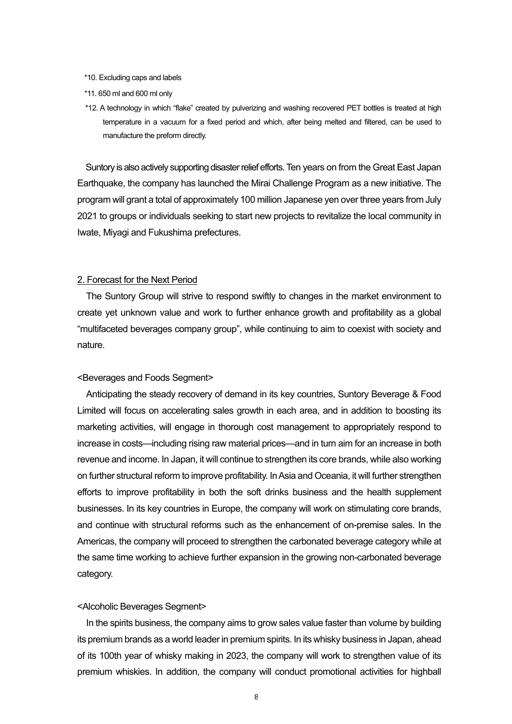- \*10. Excluding caps and labels
- \*11. 650 ml and 600 ml only
- \*12. A technology in which "flake" created by pulverizing and washing recovered PET bottles is treated at high temperature in a vacuum for a fixed period and which, after being melted and filtered, can be used to manufacture the preform directly.

Suntory is also actively supporting disaster relief efforts. Ten years on from the Great East Japan Earthquake, the company has launched the Mirai Challenge Program as a new initiative. The program will grant a total of approximately 100 million Japanese yen over three years from July 2021 to groups or individuals seeking to start new projects to revitalize the local community in Iwate, Miyagi and Fukushima prefectures.

### 2. Forecast for the Next Period

The Suntory Group will strive to respond swiftly to changes in the market environment to create yet unknown value and work to further enhance growth and profitability as a global "multifaceted beverages company group", while continuing to aim to coexist with society and nature.

#### <Beverages and Foods Segment>

Anticipating the steady recovery of demand in its key countries, Suntory Beverage & Food Limited will focus on accelerating sales growth in each area, and in addition to boosting its marketing activities, will engage in thorough cost management to appropriately respond to increase in costs—including rising raw material prices—and in turn aim for an increase in both revenue and income. In Japan, it will continue to strengthen its core brands, while also working on further structural reform to improve profitability. In Asia and Oceania, it will further strengthen efforts to improve profitability in both the soft drinks business and the health supplement businesses. In its key countries in Europe, the company will work on stimulating core brands, and continue with structural reforms such as the enhancement of on-premise sales. In the Americas, the company will proceed to strengthen the carbonated beverage category while at the same time working to achieve further expansion in the growing non-carbonated beverage category.

### <Alcoholic Beverages Segment>

In the spirits business, the company aims to grow sales value faster than volume by building its premium brands as a world leader in premium spirits. In its whisky business in Japan, ahead of its 100th year of whisky making in 2023, the company will work to strengthen value of its premium whiskies. In addition, the company will conduct promotional activities for highball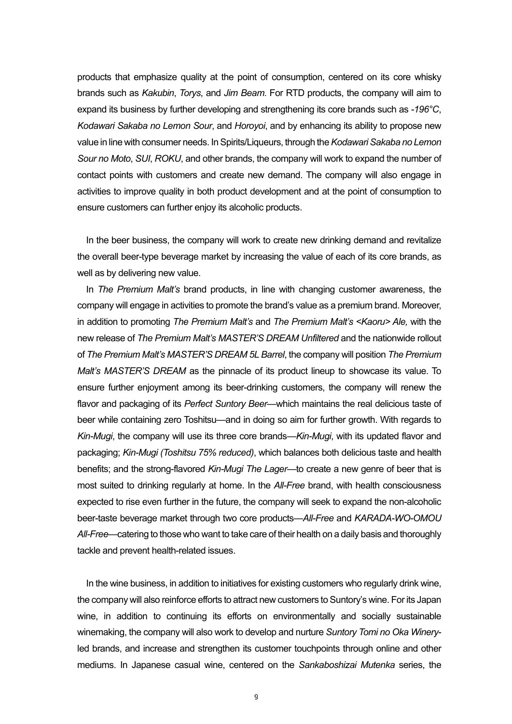products that emphasize quality at the point of consumption, centered on its core whisky brands such as *Kakubin*, *Torys*, and *Jim Beam*. For RTD products, the company will aim to expand its business by further developing and strengthening its core brands such as *-196°C*, *Kodawari Sakaba no Lemon Sour*, and *Horoyoi*, and by enhancing its ability to propose new value in line with consumer needs. In Spirits/Liqueurs, through the *Kodawari Sakaba no Lemon Sour no Moto*, *SUI*, *ROKU*, and other brands, the company will work to expand the number of contact points with customers and create new demand. The company will also engage in activities to improve quality in both product development and at the point of consumption to ensure customers can further enjoy its alcoholic products.

In the beer business, the company will work to create new drinking demand and revitalize the overall beer-type beverage market by increasing the value of each of its core brands, as well as by delivering new value.

In *The Premium Malt's* brand products, in line with changing customer awareness, the company will engage in activities to promote the brand's value as a premium brand. Moreover, in addition to promoting *The Premium Malt's* and *The Premium Malt's <Kaoru> Ale,* with the new release of *The Premium Malt's MASTER'S DREAM Unfiltered* and the nationwide rollout of *The Premium Malt's MASTER'S DREAM 5L Barrel*, the company will position *The Premium Malt's MASTER'S DREAM* as the pinnacle of its product lineup to showcase its value. To ensure further enjoyment among its beer-drinking customers, the company will renew the flavor and packaging of its *Perfect Suntory Beer*—which maintains the real delicious taste of beer while containing zero Toshitsu—and in doing so aim for further growth. With regards to *Kin-Mugi*, the company will use its three core brands—*Kin-Mugi*, with its updated flavor and packaging; *Kin-Mugi (Toshitsu 75% reduced)*, which balances both delicious taste and health benefits; and the strong-flavored *Kin-Mugi The Lager—*to create a new genre of beer that is most suited to drinking regularly at home. In the *All-Free* brand, with health consciousness expected to rise even further in the future, the company will seek to expand the non-alcoholic beer-taste beverage market through two core products—*All-Free* and *KARADA-WO-OMOU All-Free*—catering to those who want to take care of their health on a daily basis and thoroughly tackle and prevent health-related issues.

In the wine business, in addition to initiatives for existing customers who regularly drink wine, the company will also reinforce efforts to attract new customers to Suntory's wine. For its Japan wine, in addition to continuing its efforts on environmentally and socially sustainable winemaking, the company will also work to develop and nurture *Suntory Tomi no Oka Winery*led brands, and increase and strengthen its customer touchpoints through online and other mediums. In Japanese casual wine, centered on the *Sankaboshizai Mutenka* series, the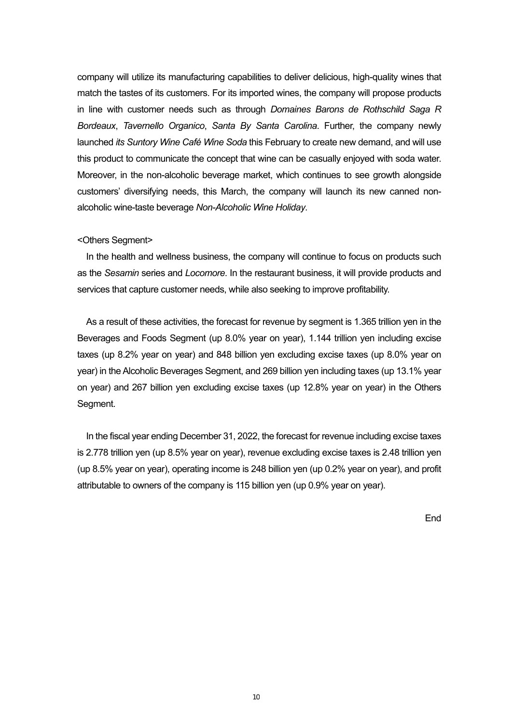company will utilize its manufacturing capabilities to deliver delicious, high-quality wines that match the tastes of its customers. For its imported wines, the company will propose products in line with customer needs such as through *Domaines Barons de Rothschild Saga R Bordeaux*, *Tavernello Organico*, *Santa By Santa Carolina*. Further, the company newly launched *its Suntory Wine Café Wine Soda* this February to create new demand, and will use this product to communicate the concept that wine can be casually enjoyed with soda water. Moreover, in the non-alcoholic beverage market, which continues to see growth alongside customers' diversifying needs, this March, the company will launch its new canned nonalcoholic wine-taste beverage *Non-Alcoholic Wine Holiday*.

### <Others Segment>

In the health and wellness business, the company will continue to focus on products such as the *Sesamin* series and *Locomore*. In the restaurant business, it will provide products and services that capture customer needs, while also seeking to improve profitability.

As a result of these activities, the forecast for revenue by segment is 1.365 trillion yen in the Beverages and Foods Segment (up 8.0% year on year), 1.144 trillion yen including excise taxes (up 8.2% year on year) and 848 billion yen excluding excise taxes (up 8.0% year on year) in the Alcoholic Beverages Segment, and 269 billion yen including taxes (up 13.1% year on year) and 267 billion yen excluding excise taxes (up 12.8% year on year) in the Others Segment.

In the fiscal year ending December 31, 2022, the forecast for revenue including excise taxes is 2.778 trillion yen (up 8.5% year on year), revenue excluding excise taxes is 2.48 trillion yen (up 8.5% year on year), operating income is 248 billion yen (up 0.2% year on year), and profit attributable to owners of the company is 115 billion yen (up 0.9% year on year).

End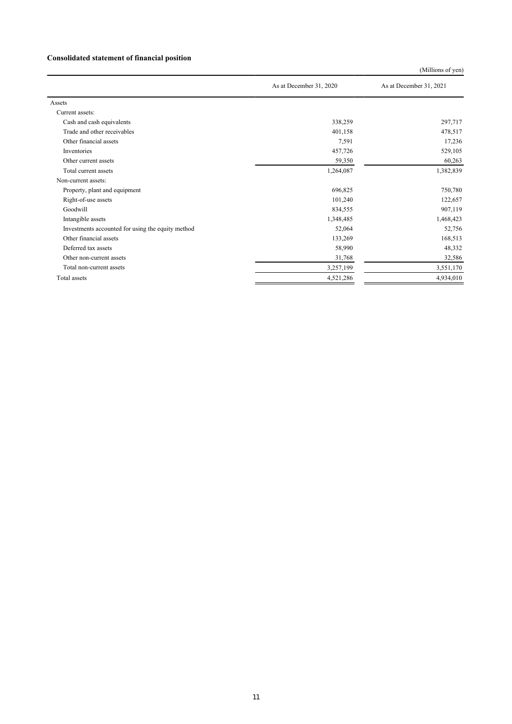### **Consolidated statement of financial position**

(Millions of yen)

|                                                   | As at December 31, 2020 | As at December 31, 2021 |
|---------------------------------------------------|-------------------------|-------------------------|
| Assets                                            |                         |                         |
| Current assets:                                   |                         |                         |
| Cash and cash equivalents                         | 338,259                 | 297,717                 |
| Trade and other receivables                       | 401,158                 | 478,517                 |
| Other financial assets                            | 7,591                   | 17,236                  |
| Inventories                                       | 457,726                 | 529,105                 |
| Other current assets                              | 59,350                  | 60,263                  |
| Total current assets                              | 1,264,087               | 1,382,839               |
| Non-current assets:                               |                         |                         |
| Property, plant and equipment                     | 696,825                 | 750,780                 |
| Right-of-use assets                               | 101,240                 | 122,657                 |
| Goodwill                                          | 834,555                 | 907,119                 |
| Intangible assets                                 | 1,348,485               | 1,468,423               |
| Investments accounted for using the equity method | 52,064                  | 52,756                  |
| Other financial assets                            | 133,269                 | 168,513                 |
| Deferred tax assets                               | 58,990                  | 48,332                  |
| Other non-current assets                          | 31,768                  | 32,586                  |
| Total non-current assets                          | 3,257,199               | 3,551,170               |
| Total assets                                      | 4,521,286               | 4,934,010               |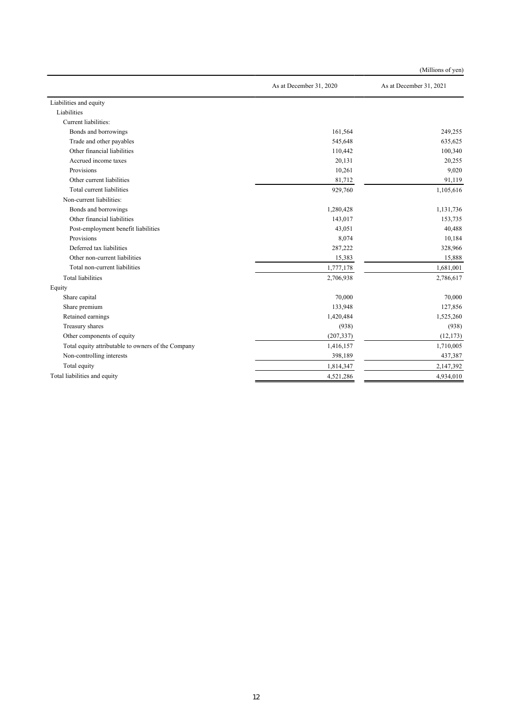| As at December 31, 2020<br>As at December 31, 2021<br>Liabilities and equity<br>Liabilities<br>Current liabilities:<br>161,564<br>249,255<br>Bonds and borrowings<br>Trade and other payables<br>545,648<br>635,625<br>Other financial liabilities<br>100,340<br>110,442<br>Accrued income taxes<br>20,255<br>20,131<br>Provisions<br>10,261<br>9,020<br>Other current liabilities<br>81,712<br>91,119<br>Total current liabilities<br>929,760<br>1,105,616<br>Non-current liabilities:<br>Bonds and borrowings<br>1,280,428<br>1,131,736<br>Other financial liabilities<br>153,735<br>143,017<br>40,488<br>Post-employment benefit liabilities<br>43,051<br>Provisions<br>8,074<br>10,184<br>Deferred tax liabilities<br>328,966<br>287,222<br>Other non-current liabilities<br>15,888<br>15,383<br>Total non-current liabilities<br>1,777,178<br>1,681,001 |
|--------------------------------------------------------------------------------------------------------------------------------------------------------------------------------------------------------------------------------------------------------------------------------------------------------------------------------------------------------------------------------------------------------------------------------------------------------------------------------------------------------------------------------------------------------------------------------------------------------------------------------------------------------------------------------------------------------------------------------------------------------------------------------------------------------------------------------------------------------------|
|                                                                                                                                                                                                                                                                                                                                                                                                                                                                                                                                                                                                                                                                                                                                                                                                                                                              |
|                                                                                                                                                                                                                                                                                                                                                                                                                                                                                                                                                                                                                                                                                                                                                                                                                                                              |
|                                                                                                                                                                                                                                                                                                                                                                                                                                                                                                                                                                                                                                                                                                                                                                                                                                                              |
|                                                                                                                                                                                                                                                                                                                                                                                                                                                                                                                                                                                                                                                                                                                                                                                                                                                              |
|                                                                                                                                                                                                                                                                                                                                                                                                                                                                                                                                                                                                                                                                                                                                                                                                                                                              |
|                                                                                                                                                                                                                                                                                                                                                                                                                                                                                                                                                                                                                                                                                                                                                                                                                                                              |
|                                                                                                                                                                                                                                                                                                                                                                                                                                                                                                                                                                                                                                                                                                                                                                                                                                                              |
|                                                                                                                                                                                                                                                                                                                                                                                                                                                                                                                                                                                                                                                                                                                                                                                                                                                              |
|                                                                                                                                                                                                                                                                                                                                                                                                                                                                                                                                                                                                                                                                                                                                                                                                                                                              |
|                                                                                                                                                                                                                                                                                                                                                                                                                                                                                                                                                                                                                                                                                                                                                                                                                                                              |
|                                                                                                                                                                                                                                                                                                                                                                                                                                                                                                                                                                                                                                                                                                                                                                                                                                                              |
|                                                                                                                                                                                                                                                                                                                                                                                                                                                                                                                                                                                                                                                                                                                                                                                                                                                              |
|                                                                                                                                                                                                                                                                                                                                                                                                                                                                                                                                                                                                                                                                                                                                                                                                                                                              |
|                                                                                                                                                                                                                                                                                                                                                                                                                                                                                                                                                                                                                                                                                                                                                                                                                                                              |
|                                                                                                                                                                                                                                                                                                                                                                                                                                                                                                                                                                                                                                                                                                                                                                                                                                                              |
|                                                                                                                                                                                                                                                                                                                                                                                                                                                                                                                                                                                                                                                                                                                                                                                                                                                              |
|                                                                                                                                                                                                                                                                                                                                                                                                                                                                                                                                                                                                                                                                                                                                                                                                                                                              |
|                                                                                                                                                                                                                                                                                                                                                                                                                                                                                                                                                                                                                                                                                                                                                                                                                                                              |
|                                                                                                                                                                                                                                                                                                                                                                                                                                                                                                                                                                                                                                                                                                                                                                                                                                                              |
| <b>Total liabilities</b><br>2,706,938<br>2,786,617                                                                                                                                                                                                                                                                                                                                                                                                                                                                                                                                                                                                                                                                                                                                                                                                           |
| Equity                                                                                                                                                                                                                                                                                                                                                                                                                                                                                                                                                                                                                                                                                                                                                                                                                                                       |
| Share capital<br>70,000<br>70,000                                                                                                                                                                                                                                                                                                                                                                                                                                                                                                                                                                                                                                                                                                                                                                                                                            |
| Share premium<br>127,856<br>133,948                                                                                                                                                                                                                                                                                                                                                                                                                                                                                                                                                                                                                                                                                                                                                                                                                          |
| Retained earnings<br>1,525,260<br>1,420,484                                                                                                                                                                                                                                                                                                                                                                                                                                                                                                                                                                                                                                                                                                                                                                                                                  |
| Treasury shares<br>(938)<br>(938)                                                                                                                                                                                                                                                                                                                                                                                                                                                                                                                                                                                                                                                                                                                                                                                                                            |
| Other components of equity<br>(207, 337)<br>(12, 173)                                                                                                                                                                                                                                                                                                                                                                                                                                                                                                                                                                                                                                                                                                                                                                                                        |
| Total equity attributable to owners of the Company<br>1,710,005<br>1,416,157                                                                                                                                                                                                                                                                                                                                                                                                                                                                                                                                                                                                                                                                                                                                                                                 |
| Non-controlling interests<br>398,189<br>437,387                                                                                                                                                                                                                                                                                                                                                                                                                                                                                                                                                                                                                                                                                                                                                                                                              |
| Total equity<br>1,814,347<br>2,147,392                                                                                                                                                                                                                                                                                                                                                                                                                                                                                                                                                                                                                                                                                                                                                                                                                       |
| Total liabilities and equity<br>4,521,286<br>4,934,010                                                                                                                                                                                                                                                                                                                                                                                                                                                                                                                                                                                                                                                                                                                                                                                                       |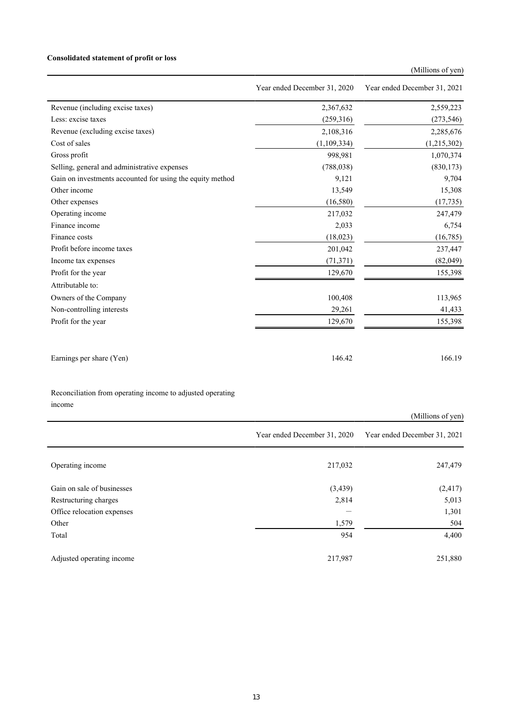### **Consolidated statement of profit or loss**

### (Millions of yen)

|                                                           | Year ended December 31, 2020 | Year ended December 31, 2021 |
|-----------------------------------------------------------|------------------------------|------------------------------|
| Revenue (including excise taxes)                          | 2,367,632                    | 2,559,223                    |
| Less: excise taxes                                        | (259,316)                    | (273, 546)                   |
| Revenue (excluding excise taxes)                          | 2,108,316                    | 2,285,676                    |
| Cost of sales                                             | (1,109,334)                  | (1,215,302)                  |
| Gross profit                                              | 998,981                      | 1,070,374                    |
| Selling, general and administrative expenses              | (788, 038)                   | (830, 173)                   |
| Gain on investments accounted for using the equity method | 9,121                        | 9,704                        |
| Other income                                              | 13,549                       | 15,308                       |
| Other expenses                                            | (16,580)                     | (17, 735)                    |
| Operating income                                          | 217,032                      | 247,479                      |
| Finance income                                            | 2,033                        | 6,754                        |
| Finance costs                                             | (18,023)                     | (16, 785)                    |
| Profit before income taxes                                | 201,042                      | 237,447                      |
| Income tax expenses                                       | (71, 371)                    | (82,049)                     |
| Profit for the year                                       | 129,670                      | 155,398                      |
| Attributable to:                                          |                              |                              |
| Owners of the Company                                     | 100,408                      | 113,965                      |
| Non-controlling interests                                 | 29,261                       | 41,433                       |
| Profit for the year                                       | 129,670                      | 155,398                      |
|                                                           |                              |                              |
| Earnings per share (Yen)                                  | 146.42                       | 166.19                       |

Reconciliation from operating income to adjusted operating income

|                            |                              | (Millions of yen)            |
|----------------------------|------------------------------|------------------------------|
|                            | Year ended December 31, 2020 | Year ended December 31, 2021 |
| Operating income           | 217,032                      | 247,479                      |
| Gain on sale of businesses | (3, 439)                     | (2, 417)                     |
| Restructuring charges      | 2,814                        | 5,013                        |
| Office relocation expenses |                              | 1,301                        |
| Other                      | 1,579                        | 504                          |
| Total                      | 954                          | 4,400                        |
| Adjusted operating income  | 217,987                      | 251,880                      |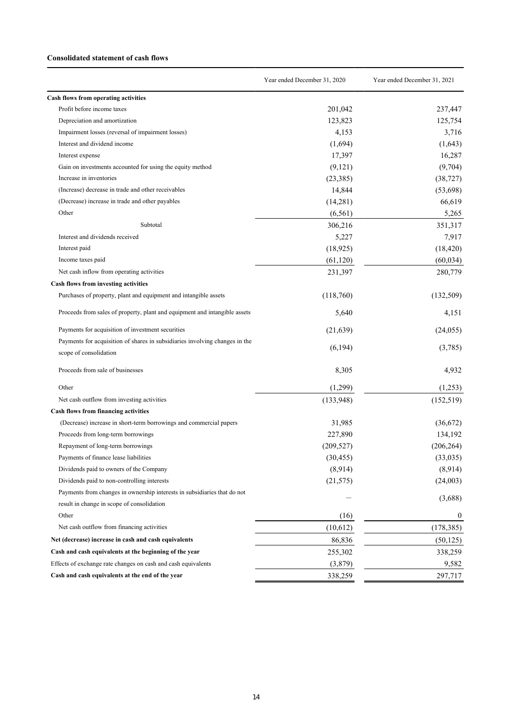#### **Consolidated statement of cash flows**

|                                                                             | Year ended December 31, 2020 | Year ended December 31, 2021 |
|-----------------------------------------------------------------------------|------------------------------|------------------------------|
| Cash flows from operating activities                                        |                              |                              |
| Profit before income taxes                                                  | 201,042                      | 237,447                      |
| Depreciation and amortization                                               | 123,823                      | 125,754                      |
| Impairment losses (reversal of impairment losses)                           | 4,153                        | 3,716                        |
| Interest and dividend income                                                | (1,694)                      | (1,643)                      |
| Interest expense                                                            | 17,397                       | 16,287                       |
| Gain on investments accounted for using the equity method                   | (9,121)                      | (9,704)                      |
| Increase in inventories                                                     | (23, 385)                    | (38, 727)                    |
| (Increase) decrease in trade and other receivables                          | 14,844                       | (53,698)                     |
| (Decrease) increase in trade and other payables                             | (14,281)                     | 66,619                       |
| Other                                                                       | (6, 561)                     | 5,265                        |
| Subtotal                                                                    | 306,216                      | 351,317                      |
| Interest and dividends received                                             | 5,227                        | 7,917                        |
| Interest paid                                                               | (18, 925)                    | (18, 420)                    |
| Income taxes paid                                                           | (61, 120)                    | (60, 034)                    |
| Net cash inflow from operating activities                                   | 231,397                      | 280,779                      |
| <b>Cash flows from investing activities</b>                                 |                              |                              |
| Purchases of property, plant and equipment and intangible assets            | (118,760)                    | (132,509)                    |
| Proceeds from sales of property, plant and equipment and intangible assets  | 5,640                        | 4,151                        |
| Payments for acquisition of investment securities                           | (21,639)                     | (24,055)                     |
| Payments for acquisition of shares in subsidiaries involving changes in the | (6, 194)                     | (3,785)                      |
| scope of consolidation                                                      |                              |                              |
| Proceeds from sale of businesses                                            | 8,305                        | 4,932                        |
| Other                                                                       | (1,299)                      | (1,253)                      |
| Net cash outflow from investing activities                                  | (133,948)                    | (152, 519)                   |
| <b>Cash flows from financing activities</b>                                 |                              |                              |
| (Decrease) increase in short-term borrowings and commercial papers          | 31,985                       | (36,672)                     |
| Proceeds from long-term borrowings                                          | 227,890                      | 134,192                      |
| Repayment of long-term borrowings                                           | (209, 527)                   | (206, 264)                   |
| Payments of finance lease liabilities                                       | (30, 455)                    | (33,035)                     |
| Dividends paid to owners of the Company                                     | (8,914)                      | (8,914)                      |
| Dividends paid to non-controlling interests                                 | (21, 575)                    | (24,003)                     |
| Payments from changes in ownership interests in subsidiaries that do not    |                              |                              |
| result in change in scope of consolidation                                  |                              | (3,688)                      |
| Other                                                                       | (16)                         | $\boldsymbol{0}$             |
| Net cash outflow from financing activities                                  | (10,612)                     | (178, 385)                   |
| Net (decrease) increase in cash and cash equivalents                        | 86,836                       | (50, 125)                    |
| Cash and cash equivalents at the beginning of the year                      | 255,302                      | 338,259                      |
| Effects of exchange rate changes on cash and cash equivalents               | (3,879)                      | 9,582                        |
| Cash and cash equivalents at the end of the year                            | 338,259                      | 297,717                      |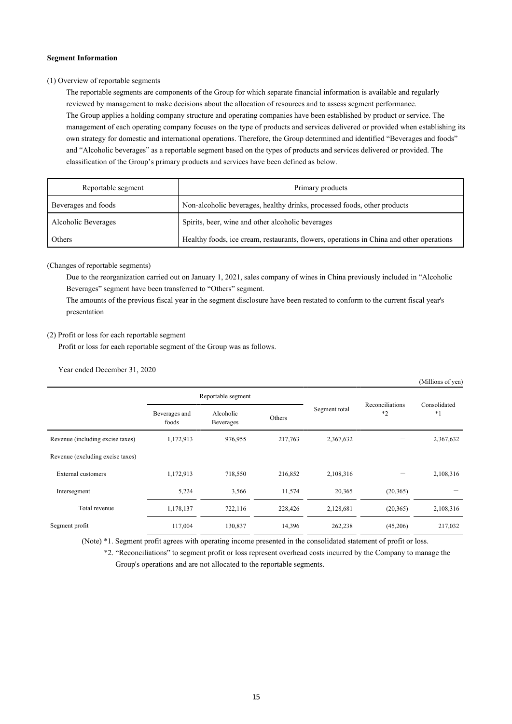#### **Segment Information**

#### (1) Overview of reportable segments

The reportable segments are components of the Group for which separate financial information is available and regularly reviewed by management to make decisions about the allocation of resources and to assess segment performance. The Group applies a holding company structure and operating companies have been established by product or service. The management of each operating company focuses on the type of products and services delivered or provided when establishing its own strategy for domestic and international operations. Therefore, the Group determined and identified "Beverages and foods" and "Alcoholic beverages" as a reportable segment based on the types of products and services delivered or provided. The classification of the Group's primary products and services have been defined as below.

| Reportable segment  | Primary products                                                                         |  |  |
|---------------------|------------------------------------------------------------------------------------------|--|--|
| Beverages and foods | Non-alcoholic beverages, healthy drinks, processed foods, other products                 |  |  |
| Alcoholic Beverages | Spirits, beer, wine and other alcoholic beverages                                        |  |  |
| Others              | Healthy foods, ice cream, restaurants, flowers, operations in China and other operations |  |  |

#### (Changes of reportable segments)

Due to the reorganization carried out on January 1, 2021, sales company of wines in China previously included in "Alcoholic Beverages" segment have been transferred to "Others" segment.

The amounts of the previous fiscal year in the segment disclosure have been restated to conform to the current fiscal year's presentation

#### (2) Profit or loss for each reportable segment

Profit or loss for each reportable segment of the Group was as follows.

#### Year ended December 31, 2020

|                                  |                        |                        |         |               |                         | (Millions of yen)    |
|----------------------------------|------------------------|------------------------|---------|---------------|-------------------------|----------------------|
|                                  | Reportable segment     |                        |         |               |                         |                      |
|                                  | Beverages and<br>foods | Alcoholic<br>Beverages | Others  | Segment total | Reconciliations<br>$*2$ | Consolidated<br>$*1$ |
| Revenue (including excise taxes) | 1,172,913              | 976,955                | 217,763 | 2,367,632     |                         | 2,367,632            |
| Revenue (excluding excise taxes) |                        |                        |         |               |                         |                      |
| <b>External customers</b>        | 1,172,913              | 718,550                | 216,852 | 2,108,316     |                         | 2,108,316            |
| Intersegment                     | 5,224                  | 3,566                  | 11,574  | 20,365        | (20, 365)               |                      |
| Total revenue                    | 1,178,137              | 722,116                | 228,426 | 2,128,681     | (20, 365)               | 2,108,316            |
| Segment profit                   | 117,004                | 130,837                | 14,396  | 262,238       | (45,206)                | 217,032              |

(Note) \*1. Segment profit agrees with operating income presented in the consolidated statement of profit or loss.

\*2. "Reconciliations" to segment profit or loss represent overhead costs incurred by the Company to manage the Group's operations and are not allocated to the reportable segments.